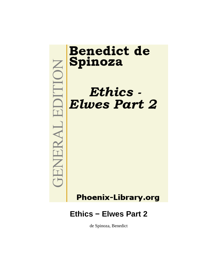

## **Ethics − Elwes Part 2**

de Spinoza, Benedict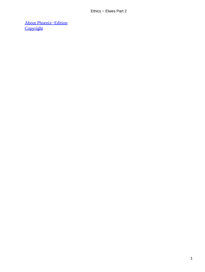[About Phoenix−Edition](#page-36-0) **[Copyright](#page-37-0)**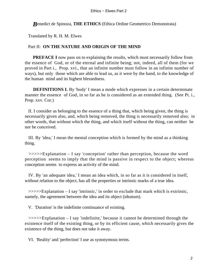*B*enedict de Spinoza, **THE ETHICS** (Ethica Ordine Geometrico Demonstrata)

Translated by R. H. M. Elwes

## Part II: **ON THE NATURE AND ORIGIN OF THE MIND**

**PREFACE I** now pass on to explaining the results, which must necessarily follow from the essence of God, or of the eternal and infinite being; not, indeed, all of them (for we proved in Part i., Prop. xvi., that an infinite number must follow in an infinite number of ways), but only those which are able to lead us, as it were by the hand, to the knowledge of the human mind and its highest blessedness.

**DEFINITIONS I.** By 'body' I mean a mode which expresses in a certain determinate manner the essence of God, in so far as he is considered as an extended thing. (See Pt. i., Prop. xxv. Cor.)

 II. I consider as belonging to the essence of a thing that, which being given, the thing is necessarily given also, and, which being removed, the thing is necessarily removed also; in other words, that without which the thing, and which itself without the thing, can neither be nor be conceived.

 III. By 'idea,' I mean the mental conception which is formed by the mind as a thinking thing.

 >>>>>Explanation – I say 'conception' rather than perception, because the word perception seems to imply that the mind is passive in respect to the object; whereas conception seems to express an activity of the mind.

 IV. By 'an adequate idea,' I mean an idea which, in so far as it is considered in itself, without relation to the object, has all the properties or intrinsic marks of a true idea.

 >>>>>Explanation – I say 'intrinsic,' in order to exclude that mark which is extrinsic, namely, the agreement between the idea and its object (ideatum).

V. 'Duration' is the indefinite continuance of existing.

 >>>>>Explanation – I say 'indefinite,' because it cannot be determined through the existence itself of the existing thing, or by its efficient cause, which necessarily gives the existence of the thing, but does not take it away.

VI. 'Reality' and 'perfection' I use as synonymous terms.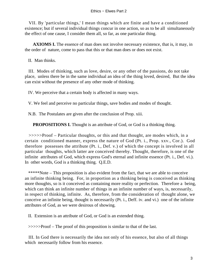VII. By 'particular things,' I mean things which are finite and have a conditioned existence; but if several individual things concur in one action, so as to be all simultaneously the effect of one cause, I consider them all, so far, as one particular thing.

**AXIOMS I.** The essence of man does not involve necessary existence, that is, it may, in the order of nature, come to pass that this or that man does or does not exist.

II. Man thinks.

 III. Modes of thinking, such as love, desire, or any other of the passions, do not take place, unless there be in the same individual an idea of the thing loved, desired, But the idea can exist without the presence of any other mode of thinking.

IV. We perceive that a certain body is affected in many ways.

V. We feel and perceive no particular things, save bodies and modes of thought.

N.B. The Postulates are given after the conclusion of Prop. xiii.

**PROPOSITIONS I.** Thought is an attribute of God, or God is a thinking thing.

 >>>>>Proof – Particular thoughts, or this and that thought, are modes which, in a certain conditioned manner, express the nature of God (Pt. i., Prop. xxv., Cor.). God therefore possesses the attribute (Pt. i., Def. v.) of which the concept is involved in all particular thoughts, which latter are conceived thereby. Thought, therefore, is one of the infinite attributes of God, which express God's eternal and infinite essence (Pt. i., Def. vi.). In other words, God is a thinking thing. Q.E.D.

 \*\*\*\*\*Note – This proposition is also evident from the fact, that we are able to conceive an infinite thinking being. For, in proportion as a thinking being is conceived as thinking more thoughts, so is it conceived as containing more reality or perfection. Therefore a being, which can think an infinite number of things in an infinite number of ways, is, necessarily, in respect of thinking, infinite. As, therefore, from the consideration of thought alone, we conceive an infinite being, thought is necessarily (Pt. i., Deff. iv. and vi.) one of the infinite attributes of God, as we were desirous of showing.

II. Extension is an attribute of God, or God is an extended thing.

>>>>>Proof – The proof of this proposition is similar to that of the last.

 III. In God there is necessarily the idea not only of his essence, but also of all things which necessarily follow from his essence.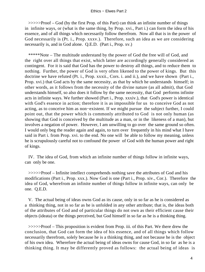>>>>>Proof – God (by the first Prop. of this Part) can think an infinite number of things in infinite ways, or (what is the same thing, by Prop. xvi., Part i.) can form the idea of his essence, and of all things which necessarily follow therefrom. Now all that is in the power of God necessarily is (Pt. i., Prop. xxxv.). Therefore, such an idea as we are considering necessarily is, and in God alone. Q.E.D. (Part i., Prop. xv.)

 \*\*\*\*\*Note – The multitude understand by the power of God the free will of God, and the right over all things that exist, which latter are accordingly generally considered as contingent. For it is said that God has the power to destroy all things, and to reduce them to nothing. Further, the power of God is very often likened to the power of kings. But this doctrine we have refuted (Pt. i., Prop. xxxii., Cors. i. and ii.), and we have shown (Part i., Prop. xvi.) that God acts by the same necessity, as that by which he understands himself; in other words, as it follows from the necessity of the divine nature (as all admit), that God understands himself, so also does it follow by the same necessity, that God performs infinite acts in infinite ways. We further showed (Part i., Prop. xxxiv.), that God's power is identical with God's essence in action; therefore it is as impossible for us to conceive God as not acting, as to conceive him as non−existent. If we might pursue the subject further, I could point out, that the power which is commonly attributed to God is not only human (as showing that God is conceived by the multitude as a man, or in the likeness of a man), but involves a negation of power. However, I am unwilling to go over the same ground so often. I would only beg the reader again and again, to turn over frequently in his mind what I have said in Part i. from Prop. xvi. to the end. No one will be able to follow my meaning, unless he is scrupulously careful not to confound the power of God with the human power and right of kings.

 IV. The idea of God, from which an infinite number of things follow in infinite ways, can only be one.

 >>>>>Proof – Infinite intellect comprehends nothing save the attributes of God and his modifications (Part i., Prop. xxx.). Now God is one (Part i., Prop. xiv., Cor.). Therefore the idea of God, wherefrom an infinite number of things follow in infinite ways, can only be one. Q.E.D.

 V. The actual being of ideas owns God as its cause, only in so far as he is considered as a thinking thing, not in so far as he is unfolded in any other attribute; that is, the ideas both of the attributes of God and of particular things do not own as their efficient cause their objects (ideata) or the things perceived, but God himself in so far as he is a thinking thing.

 >>>>>Proof – This proposition is evident from Prop. iii. of this Part. We there drew the conclusion, that God can form the idea of his essence, and of all things which follow necessarily therefrom, solely because he is a thinking thing, and not because he is the object of his own idea. Wherefore the actual being of ideas owns for cause God, in so far as he is a thinking thing. It may be differently proved as follows: the actual being of ideas is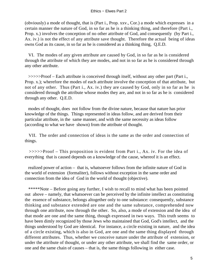(obviously) a mode of thought, that is (Part i., Prop. xxv., Cor.) a mode which expresses in a certain manner the nature of God, in so far as he is a thinking thing, and therefore (Part i., Prop. x.) involves the conception of no other attribute of God, and consequently (by Part i., Ax. iv.) is not the effect of any attribute save thought. Therefore the actual being of ideas owns God as its cause, in so far as he is considered as a thinking thing, Q.E.D.

 VI. The modes of any given attribute are caused by God, in so far as he is considered through the attribute of which they are modes, and not in so far as he is considered through any other attribute.

 >>>>>Proof – Each attribute is conceived through itself, without any other part (Part i., Prop. x.); wherefore the modes of each attribute involve the conception of that attribute, but not of any other. Thus (Part i., Ax. iv.) they are caused by God, only in so far as he is considered through the attribute whose modes they are, and not in so far as he is considered through any other. Q.E.D.

 modes of thought, does not follow from the divine nature, because that nature has prior knowledge of the things. Things represented in ideas follow, and are derived from their particular attribute, in the same manner, and with the same necessity as ideas follow (according to what we have shown) from the attribute of thought.

 VII. The order and connection of ideas is the same as the order and connection of things.

 >>>>>Proof – This proposition is evident from Part i., Ax. iv. For the idea of everything that is caused depends on a knowledge of the cause, whereof it is an effect.

 realized power of action – that is, whatsoever follows from the infinite nature of God in the world of extension (formaliter), follows without exception in the same order and connection from the idea of God in the world of thought (objective).

 \*\*\*\*\*Note – Before going any further, I wish to recall to mind what has been pointed out above – namely, that whatsoever can be perceived by the infinite intellect as constituting the essence of substance, belongs altogether only to one substance: consequently, substance thinking and substance extended are one and the same substance, comprehended now through one attribute, now through the other. So, also, a mode of extension and the idea of that mode are one and the same thing, though expressed in two ways. This truth seems to have been dimly recognized by those Jews who maintained that God, God's intellect, and the things understood by God are identical. For instance, a circle existing in nature, and the idea of a circle existing, which is also in God, are one and the same thing displayed through different attributes. Thus, whether we conceive nature under the attribute of extension, or under the attribute of thought, or under any other attribute, we shall find the same order, or one and the same chain of causes – that is, the same things following in either case.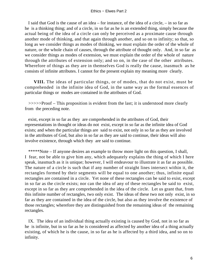I said that God is the cause of an idea – for instance, of the idea of a circle, – in so far as he is a thinking thing; and of a circle, in so far as he is an extended thing, simply because the actual being of the idea of a circle can only be perceived as a proximate cause through another mode of thinking, and that again through another, and so on to infinity; so that, so long as we consider things as modes of thinking, we must explain the order of the whole of nature, or the whole chain of causes, through the attribute of thought only. And, in so far as we consider things as modes of extension, we must explain the order of the whole of nature through the attributes of extension only; and so on, in the case of the other attributes. Wherefore of things as they are in themselves God is really the cause, inasmuch as he consists of infinite attributes. I cannot for the present explain my meaning more clearly.

**VIII.** The ideas of particular things, or of modes, that do not exist, must be comprehended in the infinite idea of God, in the same way as the formal essences of particular things or modes are contained in the attributes of God.

 >>>>>Proof – This proposition is evident from the last; it is understood more clearly from the preceding note.

 exist, except in so far as they are comprehended in the attributes of God, their representations in thought or ideas do not exist, except in so far as the infinite idea of God exists; and when the particular things are said to exist, not only in so far as they are involved in the attributes of God, but also in so far as they are said to continue, their ideas will also involve existence, through which they are said to continue.

 \*\*\*\*\*Note – If anyone desires an example to throw more light on this question, I shall, I fear, not be able to give him any, which adequately explains the thing of which I here speak, inasmuch as it is unique; however, I will endeavour to illustrate it as far as possible. The nature of a circle is such that if any number of straight lines intersect within it, the rectangles formed by their segments will be equal to one another; thus, infinite equal rectangles are contained in a circle. Yet none of these rectangles can be said to exist, except in so far as the circle exists; nor can the idea of any of these rectangles be said to exist, except in so far as they are comprehended in the idea of the circle. Let us grant that, from this infinite number of rectangles, two only exist. The ideas of these two not only exist, in so far as they are contained in the idea of the circle, but also as they involve the existence of those rectangles; wherefore they are distinguished from the remaining ideas of the remaining rectangles.

 IX. The idea of an individual thing actually existing is caused by God, not in so far as he is infinite, but in so far as he is considered as affected by another idea of a thing actually existing, of which he is the cause, in so far as he is affected by a third idea, and so on to infinity.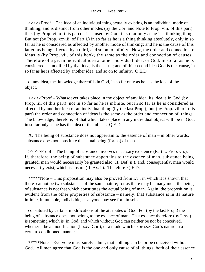>>>>>Proof – The idea of an individual thing actually existing is an individual mode of thinking, and is distinct from other modes (by the Cor. and Note to Prop. viii. of this part); thus (by Prop. vi. of this part) it is caused by God, in so far only as he is a thinking thing. But not (by Prop. xxviii. of Part i.) in so far as he is a thing thinking absolutely, only in so far as he is considered as affected by another mode of thinking; and he is the cause of this latter, as being affected by a third, and so on to infinity. Now, the order and connection of ideas is (by Prop. vii. of this book) the same as the order and connection of causes. Therefore of a given individual idea another individual idea, or God, in so far as he is considered as modified by that idea, is the cause; and of this second idea God is the cause, in so far as he is affected by another idea, and so on to infinity. Q.E.D.

 of any idea, the knowledge thereof is in God, in so far only as he has the idea of the object.

 >>>>>Proof – Whatsoever takes place in the object of any idea, its idea is in God (by Prop. iii. of this part), not in so far as he is infinite, but in so far as he is considered as affected by another idea of an individual thing (by the last Prop.); but (by Prop. vii. of this part) the order and connection of ideas is the same as the order and connection of things. The knowledge, therefore, of that which takes place in any individual object will be in God, in so far only as he has the idea of that object. Q.E.D.

 X. The being of substance does not appertain to the essence of man – in other words, substance does not constitute the actual being (forma) of man.

 >>>>>Proof – The being of substance involves necessary existence (Part i., Prop. vii.). If, therefore, the being of substance appertains to the essence of man, substance being granted, man would necessarily be granted also (II. Def. ii.), and, consequently, man would necessarily exist, which is absurd (II. Ax. i.). Therefore Q.E.D.

 \*\*\*\*\*Note – This proposition may also be proved from I.v., in which it is shown that there cannot be two substances of the same nature; for as there may be many men, the being of substance is not that which constitutes the actual being of man. Again, the proposition is evident from the other properties of substance – namely, that substance is in its nature infinite, immutable, indivisible, as anyone may see for himself.

 constituted by certain modifications of the attributes of God. For (by the last Prop.) the being of substance does not belong to the essence of man. That essence therefore (by I. xv.) is something which is in God, and which without God can neither be nor be conceived, whether it be a modification (I. xxv. Cor.), or a mode which expresses God's nature in a certain conditioned manner.

 \*\*\*\*\*Note – Everyone must surely admit, that nothing can be or be conceived without God. All men agree that God is the one and only cause of all things, both of their essence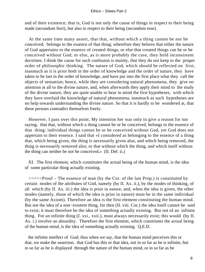and of their existence; that is, God is not only the cause of things in respect to their being made (secundum fieri), but also in respect to their being (secundum esse).

 At the same time many assert, that that, without which a thing cannot be nor be conceived, belongs to the essence of that thing; wherefore they believe that either the nature of God appertains to the essence of created things, or else that created things can be or be conceived without God; or else, as is more probably the case, they hold inconsistent doctrines. I think the cause for such confusion is mainly, that they do not keep to the proper order of philosophic thinking. The nature of God, which should be reflected on first, inasmuch as it is prior both in the order of knowledge and the order of nature, they have taken to be last in the order of knowledge, and have put into the first place what they call the objects of sensation; hence, while they are considering natural phenomena, they give no attention at all to the divine nature, and, when afterwards they apply their mind to the study of the divine nature, they are quite unable to bear in mind the first hypotheses, with which they have overlaid the knowledge of natural phenomena, inasmuch as such hypotheses are no help towards understanding the divine nature. So that it is hardly to be wondered at, that these persons contradict themselves freely.

 However, I pass over this point. My intention her was only to give a reason for not saying, that that, without which a thing cannot be or be conceived, belongs to the essence of that thing: individual things cannot be or be conceived without God, yet God does not appertain to their essence. I said that «I considered as belonging to the essence of a thing that, which being given, the thing is necessarily given also, and which being removed, the thing is necessarily removed also; or that without which the thing, and which itself without the thing can neither be nor be conceived.» (II. Def. ii.)

 XI. The first element, which constitutes the actual being of the human mind, is the idea of some particular thing actually existing.

 >>>>>Proof – The essence of man (by the Cor. of the last Prop.) is constituted by certain modes of the attributes of God, namely (by II. Ax. ii.), by the modes of thinking, of all which (by II. Ax. iii.) the idea is prior in nature, and, when the idea is given, the other modes (namely, those of which the idea is prior in nature) must be in the same individual (by the same Axiom). Therefore an idea is the first element constituting the human mind. But not the idea of a non−existent thing, for then (II. viii. Cor.) the idea itself cannot be said to exist; it must therefore be the idea of something actually existing. But not of an infinite thing. For an infinite thing (I. xxi., xxii.), must always necessarily exist; this would (by II. Ax. i.) involve an absurdity. Therefore the first element, which constitutes the actual being of the human mind, is the idea of something actually existing. Q.E.D.

 the infinite intellect of God; thus when we say, that the human mind perceives this or that, we make the assertion, that God has this or that idea, not in so far as he is infinite, but in so far as he is displayed through the nature of the human mind, or in so far as he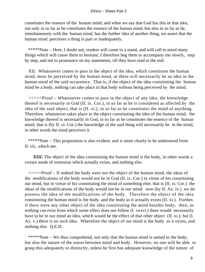constitutes the essence of the human mind; and when we say that God has this or that idea, not only in so far as he constitutes the essence of the human mind, but also in so far as he, simultaneously with the human mind, has the further idea of another thing, we assert that the human mind perceives a thing in part or inadequately.

 \*\*\*\*\*Note – Here, I doubt not, readers will come to a stand, and will call to mind many things which will cause them to hesitate; I therefore beg them to accompany me slowly, step by step, and not to pronounce on my statements, till they have read to the end.

 XII. Whatsoever comes to pass in the object of the idea, which constitutes the human mind, must be perceived by the human mind, or there will necessarily be an idea in the human mind of the said occurrence. That is, if the object of the idea constituting the human mind be a body, nothing can take place in that body without being perceived by the mind.

 >>>>>Proof – Whatsoever comes to pass in the object of any idea, the knowledge thereof is necessarily in God (II. ix. Cor.), in so far as he is considered as affected by the idea of the said object, that is (II. xi.), in so far as he constitutes the mind of anything. Therefore, whatsoever takes place in the object constituting the idea of the human mind, the knowledge thereof is necessarily in God, in so far as he constitutes the essence of the human mind; that is (by II. xi. Cor.) the knowledge of the said thing will necessarily be in the mind, in other words the mind perceives it.

 \*\*\*\*\*Note – This proposition is also evident, and is more clearly to be understood from II. vii., which see.

**XIII.** The object of the idea constituting the human mind is the body, in other words a certain mode of extension which actually exists, and nothing else.

 >>>>>Proof – If indeed the body were not the object of the human mind, the ideas of the modifications of the body would not be in God (II. ix. Cor.) in virtue of his constituting our mind, but in virtue of his constituting the mind of something else; that is (II. xi. Cor.) the ideas of the modifications of the body would not be in our mind: now (by II. Ax. iv.) we do possess the idea of the modifications of the body. Therefore the object of the idea constituting the human mind is the body, and the body as it actually exists (II. xi.). Further, if there were any other object of the idea constituting the mind besides body, then, as nothing can exist from which some effect does not follow (I. xxxvi.) there would necessarily have to be in our mind an idea, which would be the effect of that other object (II. xi.); but (I. Ax. v.) there is no such idea. Wherefore the object of our mind is the body as it exists, and nothing else. Q.E.D.

 \*\*\*\*\*Note – We thus comprehend, not only that the human mind is united to the body, but also the nature of the union between mind and body. However, no one will be able to grasp this adequately or distinctly, unless he first has adequate knowledge of the nature of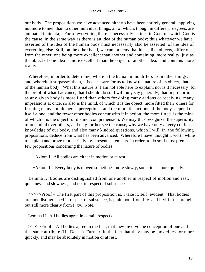our body. The propositions we have advanced hitherto have been entirely general, applying not more to men than to other individual things, all of which, though in different degrees, are animated (animata). For of everything there is necessarily an idea in God, of which God is the cause, in the same way as there is an idea of the human body; thus whatever we have asserted of the idea of the human body must necessarily also be asserted of the idea of everything else. Still, on the other hand, we cannot deny that ideas, like objects, differ one from the other, one being more excellent than another and containing more reality, just as the object of one idea is more excellent than the object of another idea, and contains more reality.

 Wherefore, in order to determine, wherein the human mind differs from other things, and wherein it surpasses them, it is necessary for us to know the nature of its object, that is, of the human body. What this nature is, I am not able here to explain, nor is it necessary for the proof of what I advance, that I should do so. I will only say generally, that in proportion as any given body is more fitted than others for doing many actions or receiving many impressions at once, so also is the mind, of which it is the object, more fitted than others for forming many simultaneous perceptions; and the more the actions of the body depend on itself alone, and the fewer other bodies concur with it in action, the more fitted is the mind of which it is the object for distinct comprehension. We may thus recognize the superiority of one mind over others, and may further see the cause, why we have only a very confused knowledge of our body, and also many kindred questions, which I will, in the following propositions, deduce from what has been advanced. Wherefore I have thought it worth while to explain and prove more strictly my present statements. In order to do so, I must premise a few propositions concerning the nature of bodies.

– −Axiom I. All bodies are either in motion or at rest.

– −Axiom II. Every body is moved sometimes more slowly, sometimes more quickly.

 Lemma I. Bodies are distinguished from one another in respect of motion and rest, quickness and slowness, and not in respect of substance.

 >>>>>Proof – The first part of this proposition is, I take it, self−evident. That bodies are not distinguished in respect of substance, is plain both from I. v. and I. viii. It is brought out still more clearly from I. xv., Note.

Lemma II. All bodies agree in certain respects.

 >>>>>Proof – All bodies agree in the fact, that they involve the conception of one and the same attribute (II., Def. i.). Further, in the fact that they may be moved less or more quickly, and may be absolutely in motion or at rest.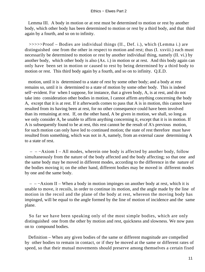Lemma III. A body in motion or at rest must be determined to motion or rest by another body, which other body has been determined to motion or rest by a third body, and that third again by a fourth, and so on to infinity.

 >>>>>Proof – Bodies are individual things (II., Def. i.), which (Lemma i.) are distinguished one from the other in respect to motion and rest; thus (I. xxviii.) each must necessarily be determined to motion or rest by another individual thing, namely (II. vi.) by another body, which other body is also (Ax. i.) in motion or at rest. And this body again can only have been set in motion or caused to rest by being determined by a third body to motion or rest. This third body again by a fourth, and so on to infinity. Q.E.D.

 motion, until it is determined to a state of rest by some other body; and a body at rest remains so, until it is determined to a state of motion by some other body. This is indeed self−evident. For when I suppose, for instance, that a given body, A, is at rest, and do not take into consideration other bodies in motion, I cannot affirm anything concerning the body A, except that it is at rest. If it afterwards comes to pass that A is in motion, this cannot have resulted from its having been at rest, for no other consequence could have been involved than its remaining at rest. If, on the other hand, A be given in motion, we shall, so long as we only consider A, be unable to affirm anything concerning it, except that it is in motion. If A is subsequently found to be at rest, this rest cannot be the result of A's previous motion, for such motion can only have led to continued motion; the state of rest therefore must have resulted from something, which was not in A, namely, from an external cause determining A to a state of rest.

 – – −Axiom I – All modes, wherein one body is affected by another body, follow simultaneously from the nature of the body affected and the body affecting; so that one and the same body may be moved in different modes, according to the difference in the nature of the bodies moving it; on the other hand, different bodies may be moved in different modes by one and the same body.

 – – −Axiom II – When a body in motion impinges on another body at rest, which it is unable to move, it recoils, in order to continue its motion, and the angle made by the line of motion in the recoil and the plane of the body at rest, whereon the moving body has impinged, will be equal to the angle formed by the line of motion of incidence and the same plane.

 So far we have been speaking only of the most simple bodies, which are only distinguished one from the other by motion and rest, quickness and slowness. We now pass on to compound bodies.

 Definition – When any given bodies of the same or different magnitude are compelled by other bodies to remain in contact, or if they be moved at the same or different rates of speed, so that their mutual movements should preserve among themselves a certain fixed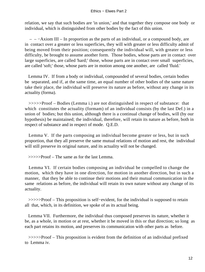relation, we say that such bodies are 'in union,' and that together they compose one body or individual, which is distinguished from other bodies by the fact of this union.

 – – −Axiom III – In proportion as the parts of an individual, or a compound body, are in contact over a greater or less superficies, they will with greater or less difficulty admit of being moved from their position; consequently the individual will, with greater or less difficulty, be brought to assume another form. Those bodies, whose parts are in contact over large superficies, are called 'hard;' those, whose parts are in contact over small superficies, are called 'soft;' those, whose parts are in motion among one another, are called 'fluid.'

 Lemma IV. If from a body or individual, compounded of several bodies, certain bodies be separated, and if, at the same time, an equal number of other bodies of the same nature take their place, the individual will preserve its nature as before, without any change in its actuality (forma).

 >>>>>Proof – Bodies (Lemma i.) are not distinguished in respect of substance: that which constitutes the actuality (formam) of an individual consists (by the last Def.) in a union of bodies; but this union, although there is a continual change of bodies, will (by our hypothesis) be maintained; the individual, therefore, will retain its nature as before, both in respect of substance and in respect of mode. Q.E.D.

 Lemma V. If the parts composing an individual become greater or less, but in such proportion, that they all preserve the same mutual relations of motion and rest, the individual will still preserve its original nature, and its actuality will not be changed.

>>>>>Proof – The same as for the last Lemma.

 Lemma VI. If certain bodies composing an individual be compelled to change the motion, which they have in one direction, for motion in another direction, but in such a manner, that they be able to continue their motions and their mutual communication in the same relations as before, the individual will retain its own nature without any change of its actuality.

>>>>>Proof – This proposition is self–evident, for the individual is supposed to retain all that, which, in its definition, we spoke of as its actual being.

 Lemma VII. Furthermore, the individual thus composed preserves its nature, whether it be, as a whole, in motion or at rest, whether it be moved in this or that direction; so long as each part retains its motion, and preserves its communication with other parts as before.

 >>>>>Proof – This proposition is evident from the definition of an individual prefixed to Lemma iv.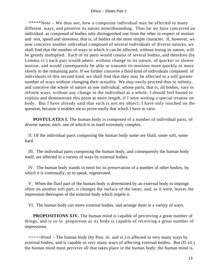\*\*\*\*\*Note – We thus see, how a composite individual may be affected in many different ways, and preserve its nature notwithstanding. Thus far we have conceived an individual as composed of bodies only distinguished one from the other in respect of motion and rest, speed and slowness; that is, of bodies of the most simple character. If, however, we now conceive another individual composed of several individuals of diverse natures, we shall find that the number of ways in which it can be affected, without losing its nature, will be greatly multiplied. Each of its parts would consist of several bodies, and therefore (by Lemma vi.) each part would admit, without change to its nature, of quicker or slower motion, and would consequently be able to transmit its motions more quickly or more slowly to the remaining parts. If we further conceive a third kind of individuals composed of individuals of this second kind, we shall find that they may be affected in a still greater number of ways without changing their actuality. We may easily proceed thus to infinity, and conceive the whole of nature as one individual, whose parts, that is, all bodies, vary in infinite ways, without any change in the individual as a whole. I should feel bound to explain and demonstrate this point at more length, if I were writing a special treatise on body. But I have already said that such is not my object; I have only touched on the question, because it enables me to prove easily that which I have in view.

**POSTULATES I.** The human body is composed of a number of individual parts, of diverse nature, each one of which is in itself extremely complex.

 II. Of the individual parts composing the human body some are fluid, some soft, some hard.

 III. The individual parts composing the human body, and consequently the human body itself, are affected in a variety of ways by external bodies.

 IV. The human body stands in need for its preservation of a number of other bodies, by which it is continually, so to speak, regenerated.

 V. When the fluid part of the human body is determined by an external body to impinge often on another soft part, it changes the surface of the latter, and, as it were, leaves the impression thereupon of the external body which impels it.

VI. The human body can move external bodies, and arrange them in a variety of ways.

**PROPOSITIONS XIV.** The human mind is capable of perceiving a great number of things, and is so in proportion as its body is capable of receiving a great number of impressions.

 >>>>>Proof – The human body (by Post. iii. and vi.) is affected in very many ways by external bodies, and is capable in very many ways of affecting external bodies. But (II.xii.) the human mind must perceive all that takes place in the human body; the human mind is,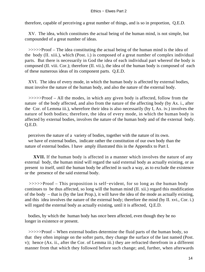therefore, capable of perceiving a great number of things, and is so in proportion, Q.E.D.

 XV. The idea, which constitutes the actual being of the human mind, is not simple, but compounded of a great number of ideas.

 >>>>>Proof – The idea constituting the actual being of the human mind is the idea of the body (II. xiii.), which (Post. i.) is composed of a great number of complex individual parts. But there is necessarily in God the idea of each individual part whereof the body is composed (II. viii. Cor.); therefore (II. vii.), the idea of the human body is composed of each of these numerous ideas of its component parts. Q.E.D.

 XVI. The idea of every mode, in which the human body is affected by external bodies, must involve the nature of the human body, and also the nature of the external body.

 >>>>>Proof – All the modes, in which any given body is affected, follow from the nature of the body affected, and also from the nature of the affecting body (by Ax. i., after the Cor. of Lemma iii.), wherefore their idea is also necessarily (by I, Ax. iv.) involves the nature of both bodies; therefore, the idea of every mode, in which the human body is affected by external bodies, involves the nature of the human body and of the external body. Q.E.D.

 perceives the nature of a variety of bodies, together with the nature of its own. we have of external bodies, indicate rather the constitution of our own body than the nature of external bodies. I have amply illustrated this in the Appendix to Part I.

**XVII.** If the human body is affected in a manner which involves the nature of any external body, the human mind will regard the said external body as actually existing, or as present to itself, until the human body be affected in such a way, as to exclude the existence or the presence of the said external body.

 >>>>>Proof – This proposition is self−evident, for so long as the human body continues to be thus affected, so long will the human mind (II. xii.) regard this modification of the body – that is (by the last Prop.), it will have the idea of the mode as actually existing, and this idea involves the nature of the external body; therefore the mind (by II. xvi., Cor. i.) will regard the external body as actually existing, until it is affected, Q.E.D.

 bodies, by which the human body has once been affected, even though they be no longer in existence or present.

 >>>>>Proof – When external bodies determine the fluid parts of the human body, so that they often impinge on the softer parts, they change the surface of the last named (Post. v); hence (Ax. ii., after the Cor. of Lemma iii.) they are refracted therefrom in a different manner from that which they followed before such change; and, further, when afterwards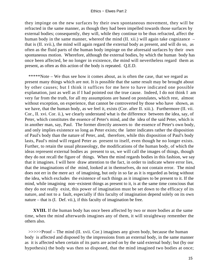they impinge on the new surfaces by their own spontaneous movement, they will be refracted in the same manner, as though they had been impelled towards those surfaces by external bodies; consequently, they will, while they continue to be thus refracted, affect the human body in the same manner, whereof the mind (II. xii.) will again take cognizance – that is (II. xvii.), the mind will again regard the external body as present, and will do so, as often as the fluid parts of the human body impinge on the aforesaid surfaces by their own spontaneous motion. Wherefore, although the external bodies, by which the human body has once been affected, be no longer in existence, the mind will nevertheless regard them as present, as often as this action of the body is repeated. Q.E.D.

 \*\*\*\*\*Note – We thus see how it comes about, as is often the case, that we regard as present many things which are not. It is possible that the same result may be brought about by other causes; but I think it suffices for me here to have indicated one possible explanation, just as well as if I had pointed out the true cause. Indeed, I do not think I am very far from the truth, for all my assumptions are based on postulates, which rest, almost without exception, on experience, that cannot be controverted by those who have shown, as we have, that the human body, as we feel it, exists (Cor. after II. xiii.). Furthermore (II. vii. Cor., II. xvi. Cor. ii.), we clearly understand what is the difference between the idea, say, of Peter, which constitutes the essence of Peter's mind, and the idea of the said Peter, which is in another man, say, Paul. The former directly answers to the essence of Peter's own body, and only implies existence so long as Peter exists; the latter indicates rather the disposition of Paul's body than the nature of Peter, and, therefore, while this disposition of Paul's body lasts, Paul's mind will regard Peter as present to itself, even though he no longer exists. Further, to retain the usual phraseology, the modifications of the human body, of which the ideas represent external bodies as present to us, we will call the images of things, though they do not recall the figure of things. When the mind regards bodies in this fashion, we say that it imagines. I will here draw attention to the fact, in order to indicate where error lies, that the imaginations of the mind, looked at in themselves, do not contain error. The mind does not err in the mere act of imagining, but only in so far as it is regarded as being without the idea, which excludes the existence of such things as it imagines to be present to it. If the mind, while imagining non−existent things as present to it, is at the same time conscious that they do not really exist, this power of imagination must be set down to the efficacy of its nature, and not to a fault, especially if this faculty of imagination depend solely on its own nature – that is (I. Def. vii.), if this faculty of imagination be free.

**XVIII.** If the human body has once been affected by two or more bodies at the same time, when the mind afterwards imagines any of them, it will straightway remember the others also.

 >>>>>Proof – The mind (II. xvii. Cor.) imagines any given body, because the human body is affected and disposed by the impressions from an external body, in the same manner as it is affected when certain of its parts are acted on by the said external body; but (by our hypothesis) the body was then so disposed, that the mind imagined two bodies at once;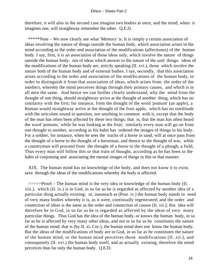therefore, it will also in the second case imagine two bodies at once, and the mind, when it imagines one, will straightway remember the other. Q.E.D.

 \*\*\*\*\*Note – We now clearly see what 'Memory' is. It is simply a certain association of ideas involving the nature of things outside the human body, which association arises in the mind according to the order and association of the modifications (affectiones) of the human body. I say, first, it is an association of those ideas only, which involve the nature of things outside the human body: not of ideas which answer to the nature of the said things: ideas of the modifications of the human body are, strictly speaking (II. xvi.), those which involve the nature both of the human body and of external bodies. I say, secondly, that this association arises according to the order and association of the modifications of the human body, in order to distinguish it from that association of ideas, which arises from the order of the intellect, whereby the mind perceives things through their primary causes, and which is in all men the same. And hence we can further clearly understand, why the mind from the thought of one thing, should straightway arrive at the thought of another thing, which has no similarity with the first; for instance, from the thought of the word 'pomum' (an apple), a Roman would straightway arrive at the thought of the fruit apple, which has no similitude with the articulate sound in question, nor anything in common with it, except that the body of the man has often been affected by these two things; that is, that the man has often heard the word 'pomum,' while he was looking at the fruit; similarly every man will go on from one thought to another, according as his habit has ordered the images of things in his body. For a soldier, for instance, when he sees the tracks of a horse in sand, will at once pass from the thought of a horse to the thought of a horseman, and thence to the thought of war, while a countryman will proceed from the thought of a horse to the thought of a plough, a field, Thus every man will follow this or that train of thought, according as he has been in the habit of conjoining and associating the mental images of things in this or that manner.

 XIX. The human mind has no knowledge of the body, and does not know it to exist, save through the ideas of the modifications whereby the body is affected.

 >>>>>Proof – The human mind is the very idea or knowledge of the human body (II. xiii.), which (II. ix.) is in God, in so far as he is regarded as affected by another idea of a particular thing actually existing: or, inasmuch as (Post. iv.) the human body stands in need of very many bodies whereby it is, as it were, continually regenerated; and the order and connection of ideas is the same as the order and connection of causes (II. vii.); this idea will therefore be in God, in so far as he is regarded as affected by the ideas of very many particular things. Thus God has the idea of the human body, or knows the human body, in so far as he is affected by very many other ideas, and not in so far as he constitutes the nature of the human mind; that is (by II. xi. Cor.), the human mind does not know the human body. But the ideas of the modifications of body are in God, in so far as he constitutes the nature of the human mind, or the human mind perceives those modifications (II. xii.), and consequently (II. xvi.) the human body itself, and as actually existing; therefore the mind perceives thus far only the human body. Q.E.D.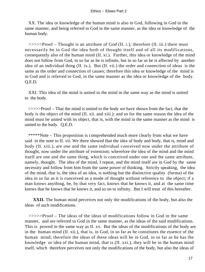XX. The idea or knowledge of the human mind is also in God, following in God in the same manner, and being referred to God in the same manner, as the idea or knowledge of the human body.

 >>>>>Proof – Thought is an attribute of God (II. i.); therefore (II. iii.) there must necessarily be in God the idea both of thought itself and of all its modifications, consequently also of the human mind (II. xi.). Further, this idea or knowledge of the mind does not follow from God, in so far as he is infinite, but in so far as he is affected by another idea of an individual thing (II. ix.). But (II. vii.) the order and connection of ideas is the same as the order and connection of causes; therefore this idea or knowledge of the mind is in God and is referred to God, in the same manner as the idea or knowledge of the body. Q.E.D.

 XXI. This idea of the mind is united to the mind in the same way as the mind is united to the body.

 >>>>>Proof – That the mind is united to the body we have shown from the fact, that the body is the object of the mind (II. xii. and xiii.); and so for the same reason the idea of the mind must be united with its object, that is, with the mind in the same manner as the mind is united to the body. Q.E.D.

 \*\*\*\*\*Note – This proposition is comprehended much more clearly from what we have said in the note to II. vii. We there showed that the idea of body and body, that is, mind and body (II. xiii.), are one and the same individual conceived now under the attribute of thought, now under the attribute of extension; wherefore the idea of the mind and the mind itself are one and the same thing, which is conceived under one and the same attribute, namely, thought. The idea of the mind, I repeat, and the mind itself are in God by the same necessity and follow from him from the same power of thinking. Strictly speaking, the idea of the mind, that is, the idea of an idea, is nothing but the distinctive quality (forma) of the idea in so far as it is conceived as a mode of thought without reference to the object; if a man knows anything, he, by that very fact, knows that he knows it, and at the same time knows that he knows that he knows it, and so on to infinity. But I will treat of this hereafter.

**XXII.** The human mind perceives not only the modifications of the body, but also the ideas of such modifications.

 >>>>>Proof – The ideas of the ideas of modifications follow in God in the same manner, and are referred to God in the same manner, as the ideas of the said modifications. This is proved in the same way as II. xx. But the ideas of the modifications of the body are in the human mind (II. xii.), that is, in God, in so far as he constitutes the essence of the human mind; therefore the ideas of these ideas will be in God, in so far as he has the knowledge or idea of the human mind, that is (II. xxi.), they will be in the human mind itself, which therefore perceives not only the modifications of the body, but also the ideas of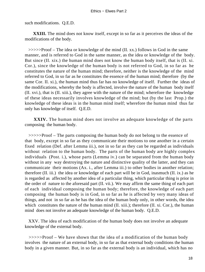such modifications. Q.E.D.

**XXIII.** The mind does not know itself, except in so far as it perceives the ideas of the modifications of the body.

 >>>>>Proof – The idea or knowledge of the mind (II. xx.) follows in God in the same manner, and is referred to God in the same manner, as the idea or knowledge of the body. But since (II. xix.) the human mind does not know the human body itself, that is (II. xi. Cor.), since the knowledge of the human body is not referred to God, in so far as he constitutes the nature of the human mind; therefore, neither is the knowledge of the mind referred to God, in so far as he constitutes the essence of the human mind; therefore (by the same Cor. II. xi.), the human mind thus far has no knowledge of itself. Further the ideas of the modifications, whereby the body is affected, involve the nature of the human body itself (II. xvi.), that is (II. xiii.), they agree with the nature of the mind; wherefore the knowledge of these ideas necessarily involves knowledge of the mind; but (by the last Prop.) the knowledge of these ideas is in the human mind itself; wherefore the human mind thus far only has knowledge of itself. Q.E.D.

**XXIV.** The human mind does not involve an adequate knowledge of the parts composing the human body.

 >>>>>Proof – The parts composing the human body do not belong to the essence of that body, except in so far as they communicate their motions to one another in a certain fixed relation (Def. after Lemma iii.), not in so far as they can be regarded as individuals without relation to the human body. The parts of the human body are highly complex individuals (Post. i.), whose parts (Lemma iv.) can be separated from the human body without in any way destroying the nature and distinctive quality of the latter, and they can communicate their motions (Ax. i., after Lemma iii.) to other bodies in another relation; therefore (II. iii.) the idea or knowledge of each part will be in God, inasmuch (II. ix.) as he is regarded as affected by another idea of a particular thing, which particular thing is prior in the order of nature to the aforesaid part (II. vii.). We may affirm the same thing of each part of each individual composing the human body; therefore, the knowledge of each part composing the human body is in God, in so far as he is affected by very many ideas of things, and not in so far as he has the idea of the human body only, in other words, the idea which constitutes the nature of the human mind (II. xiii.); therefore (II. xi. Cor.), the human mind does not involve an adequate knowledge of the human body. Q.E.D.

XXV. The idea of each modification of the human body does not involve an adequate knowledge of the external body.

 >>>>>Proof – We have shown that the idea of a modification of the human body involves the nature of an external body, in so far as that external body conditions the human body in a given manner. But, in so far as the external body is an individual, which has no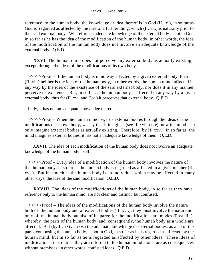reference to the human body, the knowledge or idea thereof is in God (II. ix.), in so far as God is regarded as affected by the idea of a further thing, which (II. vii.) is naturally prior to the said external body. Wherefore an adequate knowledge of the external body is not in God, in so far as he has the idea of the modification of the human body; in other words, the idea of the modification of the human body does not involve an adequate knowledge of the external body. Q.E.D.

**XXVI.** The human mind does not perceive any external body as actually existing, except through the ideas of the modifications of its own body.

 >>>>>Proof – If the human body is in no way affected by a given external body, then (II. vii.) neither is the idea of the human body, in other words, the human mind, affected in any way by the idea of the existence of the said external body, nor does it in any manner perceive its existence. But, in so far as the human body is affected in any way by a given external body, thus far (II. xvi. and Cor.) it perceives that external body. Q.E.D.

body, it has not an adequate knowledge thereof.

 >>>>>Proof – When the human mind regards external bodies through the ideas of the modifications of its own body, we say that it imagines (see II. xvii. note); now the mind can only imagine external bodies as actually existing. Therefore (by II. xxv.), in so far as the mind imagines external bodies, it has not an adequate knowledge of them. Q.E.D.

**XXVII.** The idea of each modification of the human body does not involve an adequate knowledge of the human body itself.

 >>>>>Proof – Every idea of a modification of the human body involves the nature of the human body, in so far as the human body is regarded as affected in a given manner (II. xvi.). But inasmuch as the human body is an individual which may be affected in many other ways, the idea of the said modification, Q.E.D.

**XXVIII.** The ideas of the modifications of the human body, in so far as they have reference only to the human mind, are not clear and distinct, but confused.

 >>>>>Proof – The ideas of the modifications of the human body involve the nature both of the human body and of external bodies (II. xvi.); they must involve the nature not only of the human body but also of its parts; for the modifications are modes (Post. iii.), whereby the parts of the human body, and, consequently, the human body as a whole are affected. But (by II. xxiv., xxv.) the adequate knowledge of external bodies, as also of the parts composing the human body, is not in God, in so far as he is regarded as affected by the human mind, but in so far as he is regarded as affected by other ideas. These ideas of modifications, in so far as they are referred to the human mind alone, are as consequences without premisses, in other words, confused ideas. Q.E.D.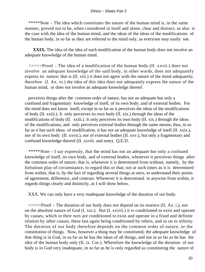\*\*\*\*\*Note – The idea which constitutes the nature of the human mind is, in the same manner, proved not to be, when considered in itself and alone, clear and distinct; as also is the case with the idea of the human mind, and the ideas of the ideas of the modifications of the human body, in so far as they are referred to the mind only, as everyone may easily see.

**XXIX.** The idea of the idea of each modification of the human body does not involve an adequate knowledge of the human mind.

 >>>>>Proof – The idea of a modification of the human body (II. xxvii.) does not involve an adequate knowledge of the said body, in other words, does not adequately express its nature; that is (II. xiii.) it does not agree with the nature of the mind adequately; therefore (I. Ax. vi.) the idea of this idea does not adequately express the nature of the human mind, or does not involve an adequate knowledge thereof.

 perceives things after the common order of nature, has not an adequate but only a confused and fragmentary knowledge of itself, of its own body, and of external bodies. For the mind does not know itself, except in so far as it perceives the ideas of the modifications of body (II. xxiii.). It only perceives its own body (II. xix.) through the ideas of the modifications of body (II. xxiii.). It only perceives its own body (II. xix.) through the ideas of the modifications, and only perceives external bodies through the same means; thus, in so far as it has such ideas of modification, it has not an adequate knowledge of itself (II. xxix.), nor of its own body (II. xxvii.), nor of external bodies (II. xxv.), but only a fragmentary and confused knowledge thereof (II. xxviii. and note). Q.E.D.

 \*\*\*\*\*Note – I say expressly, that the mind has not an adequate but only a confused knowledge of itself, its own body, and of external bodies, whenever it perceives things after the common order of nature; that is, whenever it is determined from without, namely, by the fortuitous play of circumstance, to regard this or that; not at such times as it is determined from within, that is, by the fact of regarding several things at once, to understand their points of agreement, difference, and contrast. Whenever it is determined in anywise from within, it regards things clearly and distinctly, as I will show below.

XXX. We can only have a very inadequate knowledge of the duration of our body.

 >>>>>Proof – The duration of our body does not depend on its essence (II. Ax. i.), nor on the absolute nature of God (I. xxi.). But (I. xxviii.) it is conditioned to exist and operate by causes, which in their turn are conditioned to exist and operate in a fixed and definite relation by other causes, these last again being conditioned by others, and so on to infinity. The duration of our body therefore depends on the common order of nature, or the constitution of things. Now, however a thing may be constituted, the adequate knowledge of that thing is in God, in so far as he has the ideas of all things, and not in so far as he has the idea of the human body only (II. ix. Cor.). Wherefore the knowledge of the duration of our body is in God very inadequate, in so far as he is only regarded as constituting the nature of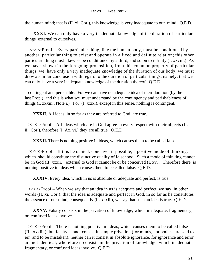the human mind; that is (II. xi. Cor.), this knowledge is very inadequate to our mind. Q.E.D.

**XXXI.** We can only have a very inadequate knowledge of the duration of particular things external to ourselves.

 >>>>>Proof – Every particular thing, like the human body, must be conditioned by another particular thing to exist and operate in a fixed and definite relation; this other particular thing must likewise be conditioned by a third, and so on to infinity (I. xxviii.). As we have shown in the foregoing proposition, from this common property of particular things, we have only a very inadequate knowledge of the duration of our body; we must draw a similar conclusion with regard to the duration of particular things, namely, that we can only have a very inadequate knowledge of the duration thereof. Q.E.D.

 contingent and perishable. For we can have no adequate idea of their duration (by the last Prop.), and this is what we must understand by the contingency and perishableness of things (I. xxxiii., Note i.). For (I. xxix.), except in this sense, nothing is contingent.

**XXXII.** All ideas, in so far as they are referred to God, are true.

 >>>>>Proof – All ideas which are in God agree in every respect with their objects (II. ii. Cor.), therefore (I. Ax. vi.) they are all true. Q.E.D.

**XXXII.** There is nothing positive in ideas, which causes them to be called false.

 >>>>>Proof – If this be denied, conceive, if possible, a positive mode of thinking, which should constitute the distinctive quality of falsehood. Such a mode of thinking cannot be in God (II. xxxii.); external to God it cannot be or be conceived (I. xv.). Therefore there is nothing positive in ideas which causes them to be called false. Q.E.D.

**XXXIV.** Every idea, which in us is absolute or adequate and perfect, is true.

 >>>>>Proof – When we say that an idea in us is adequate and perfect, we say, in other words (II. xi. Cor.), that the idea is adequate and perfect in God, in so far as he constitutes the essence of our mind; consequently (II. xxxii.), we say that such an idea is true. Q.E.D.

**XXXV.** Falsity consists in the privation of knowledge, which inadequate, fragmentary, or confused ideas involve.

 >>>>>Proof – There is nothing positive in ideas, which causes them to be called false (II. xxxiii.); but falsity cannot consist in simple privation (for minds, not bodies, are said to err and to be mistaken), neither can it consist in absolute ignorance, for ignorance and error are not identical; wherefore it consists in the privation of knowledge, which inadequate, fragmentary, or confused ideas involve. Q.E.D.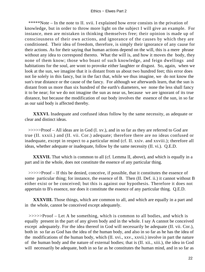\*\*\*\*\*Note – In the note to II. xvii. I explained how error consists in the privation of knowledge, but in order to throw more light on the subject I will give an example. For instance, men are mistaken in thinking themselves free; their opinion is made up of consciousness of their own actions, and ignorance of the causes by which they are conditioned. Their idea of freedom, therefore, is simply their ignorance of any cause for their actions. As for their saying that human actions depend on the will, this is a mere phrase without any idea to correspond thereto. What the will is, and how it moves the body, they none of them know; those who boast of such knowledge, and feign dwellings and habitations for the soul, are wont to provoke either laughter or disgust. So, again, when we look at the sun, we imagine that it is distant from us about two hundred feet; this error does not lie solely in this fancy, but in the fact that, while we thus imagine, we do not know the sun's true distance or the cause of the fancy. For although we afterwards learn, that the sun is distant from us more than six hundred of the earth's diameters, we none the less shall fancy it to be near; for we do not imagine the sun as near us, because we are ignorant of its true distance, but because the modification of our body involves the essence of the sun, in so far as our said body is affected thereby.

**XXXVI.** Inadequate and confused ideas follow by the same necessity, as adequate or clear and distinct ideas.

 >>>>>Proof – All ideas are in God (I. xv.), and in so far as they are referred to God are true (II. xxxii.) and (II. vii. Cor.) adequate; therefore there are no ideas confused or inadequate, except in respect to a particular mind (cf. II. xxiv. and xxviii.); therefore all ideas, whether adequate or inadequate, follow by the same necessity (II. vi.). Q.E.D.

**XXXVII.** That which is common to all (cf. Lemma II, above), and which is equally in a part and in the whole, does not constitute the essence of any particular thing.

 >>>>>Proof – If this be denied, conceive, if possible, that it constitutes the essence of some particular thing; for instance, the essence of B. Then (II. Def. ii.) it cannot without B either exist or be conceived; but this is against our hypothesis. Therefore it does not appertain to B's essence, nor does it constitute the essence of any particular thing. Q.E.D.

**XXXVIII.** Those things, which are common to all, and which are equally in a part and in the whole, cannot be conceived except adequately.

 >>>>>Proof – Let A be something, which is common to all bodies, and which is equally present in the part of any given body and in the whole. I say A cannot be conceived except adequately. For the idea thereof in God will necessarily be adequate (II. vii. Cor.), both in so far as God has the idea of the human body, and also in so far as he has the idea of the modifications of the human body, which (II. xvi., xxv., xxvii.) involve in part the nature of the human body and the nature of external bodies; that is (II. xii., xiii.), the idea in God will necessarily be adequate, both in so far as he constitutes the human mind, and in so far as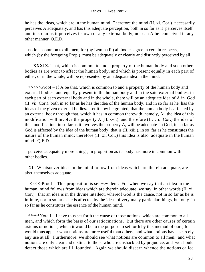he has the ideas, which are in the human mind. Therefore the mind (II. xi. Cor.) necessarily perceives A adequately, and has this adequate perception, both in so far as it perceives itself, and in so far as it perceives its own or any external body, nor can A be conceived in any other manner. Q.E.D.

 notions common to all men; for (by Lemma ii.) all bodies agree in certain respects, which (by the foregoing Prop.) must be adequately or clearly and distinctly perceived by all.

**XXXIX.** That, which is common to and a property of the human body and such other bodies as are wont to affect the human body, and which is present equally in each part of either, or in the whole, will be represented by an adequate idea in the mind.

 >>>>>Proof – If A be that, which is common to and a property of the human body and external bodies, and equally present in the human body and in the said external bodies, in each part of each external body and in the whole, there will be an adequate idea of A in God (II. vii. Cor.), both in so far as he has the idea of the human body, and in so far as he has the ideas of the given external bodies. Let it now be granted, that the human body is affected by an external body through that, which it has in common therewith, namely, A; the idea of this modification will involve the property A (II. xvi.), and therefore (II. vii. Cor.) the idea of this modification, in so far as it involves the property A, will be adequate in God, in so far as God is affected by the idea of the human body; that is (II. xiii.), in so far as he constitutes the nature of the human mind; therefore (II. xi. Cor.) this idea is also adequate in the human mind. Q.E.D.

 perceive adequately more things, in proportion as its body has more in common with other bodies.

 XL. Whatsoever ideas in the mind follow from ideas which are therein adequate, are also themselves adequate.

 >>>>>Proof – This proposition is self−evident. For when we say that an idea in the human mind follows from ideas which are therein adequate, we say, in other words (II. xi. Cor.), that an idea is in the divine intellect, whereof God is the cause, not in so far as he is infinite, nor in so far as he is affected by the ideas of very many particular things, but only in so far as he constitutes the essence of the human mind.

 \*\*\*\*\*Note I – I have thus set forth the cause of those notions, which are common to all men, and which form the basis of our ratiocinations. But there are other causes of certain axioms or notions, which it would be to the purpose to set forth by this method of ours; for it would thus appear what notions are more useful than others, and what notions have scarcely any use at all. Furthermore, we should see what notions are common to all men, and what notions are only clear and distinct to those who are unshackled by prejudice, and we should detect those which are ill−founded. Again we should discern whence the notions called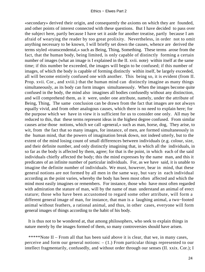«secondary» derived their origin, and consequently the axioms on which they are founded, and other points of interest connected with these questions. But I have decided to pass over the subject here, partly because I have set it aside for another treatise, partly because I am afraid of wearying the reader by too great prolixity. Nevertheless, in order not to omit anything necessary to be known, I will briefly set down the causes, whence are derived the terms styled «transcendental,» such as Being, Thing, Something. These terms arose from the fact, that the human body, being limited, is only capable of distinctly forming a certain number of images (what an image is I explained in the II. xvii. note) within itself at the same time; if this number be exceeded, the images will begin to be confused; if this number of images, of which the body is capable of forming distinctly within itself, be largely exceeded, all will become entirely confused one with another. This being so, it is evident (from II. Prop. xvii. Cor., and xviii.) that the human mind can distinctly imagine as many things simultaneously, as its body can form images simultaneously. When the images become quite confused in the body, the mind also imagines all bodies confusedly without any distinction, and will comprehend them, as it were, under one attribute, namely, under the attribute of Being, Thing, The same conclusion can be drawn from the fact that images are not always equally vivid, and from other analogous causes, which there is no need to explain here; for the purpose which we have in view it is sufficient for us to consider one only. All may be reduced to this, that these terms represent ideas in the highest degree confused. From similar causes arise those notions, which we call «general,» such as man, horse, dog, They arise, to wit, from the fact that so many images, for instance, of men, are formed simultaneously in the human mind, that the powers of imagination break down, not indeed utterly, but to the extent of the mind losing count of small differences between individuals (e.g. colour, size, and their definite number, and only distinctly imagining that, in which all the individuals, in so far as the body is affected by them, agree; for that is the point, in which each of the said individuals chiefly affected the body; this the mind expresses by the name man, and this it predicates of an infinite number of particular individuals. For, as we have said, it is unable to imagine the definite number of individuals. We must, however, bear in mind, that these general notions are not formed by all men in the same way, but vary in each individual according as the point varies, whereby the body has been most often affected and which the mind most easily imagines or remembers. For instance, those who have most often regarded with admiration the stature of man, will by the name of man understand an animal of erect stature; those who have been accustomed to regard some other attribute, will form a different general image of man, for instance, that man is a laughing animal, a two−footed animal without feathers, a rational animal, and thus, in other cases, everyone will form general images of things according to the habit of his body.

 It is thus not to be wondered at, that among philosophers, who seek to explain things in nature merely by the images formed of them, so many controversies should have arisen.

 \*\*\*\*\*Note II – From all that has been said above it is clear, that we, in many cases, perceive and form our general notions:  $- (1)$ . From particular things represented to our intellect fragmentarily, confusedly, and without order through our senses (II. xxix. Cor.); I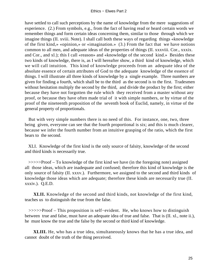have settled to call such perceptions by the name of knowledge from the mere suggestions of experience. (2.) From symbols, e.g., from the fact of having read or heard certain words we remember things and form certain ideas concerning them, similar to those through which we imagine things (II. xviii. Note). I shall call both these ways of regarding things «knowledge of the first kind,» «opinion,» or «imagination.» (3.) From the fact that we have notions common to all men, and adequate ideas of the properties of things (II. xxxviii. Cor., xxxix. and Cor., and xl.); this I call «reason» and «knowledge of the second kind.» Besides these two kinds of knowledge, there is, as I will hereafter show, a third kind of knowledge, which we will call intuition. This kind of knowledge proceeds from an adequate idea of the absolute essence of certain attributes of God to the adequate knowledge of the essence of things. I will illustrate all three kinds of knowledge by a single example. Three numbers are given for finding a fourth, which shall be to the third as the second is to the first. Tradesmen without hesitation multiply the second by the third, and divide the product by the first; either because they have not forgotten the rule which they received from a master without any proof, or because they have often made trial of it with simple numbers, or by virtue of the proof of the nineteenth proposition of the seventh book of Euclid, namely, in virtue of the general property of proportionals.

 But with very simple numbers there is no need of this. For instance, one, two, three being given, everyone can see that the fourth proportional is six; and this is much clearer, because we infer the fourth number from an intuitive grasping of the ratio, which the first bears to the second.

 XLI. Knowledge of the first kind is the only source of falsity, knowledge of the second and third kinds is necessarily true.

 >>>>>Proof – To knowledge of the first kind we have (in the foregoing note) assigned all those ideas, which are inadequate and confused; therefore this kind of knowledge is the only source of falsity (II. xxxv.). Furthermore, we assigned to the second and third kinds of knowledge those ideas which are adequate; therefore these kinds are necessarily true (II. xxxiv.). Q.E.D.

**XLII.** Knowledge of the second and third kinds, not knowledge of the first kind, teaches us to distinguish the true from the false.

 >>>>>Proof – This proposition is self−evident. He, who knows how to distinguish between true and false, must have an adequate idea of true and false. That is (II. xl., note ii.), he must know the true and the false by the second or third kind of knowledge.

**XLIII.** He, who has a true idea, simultaneously knows that he has a true idea, and cannot doubt of the truth of the thing perceived.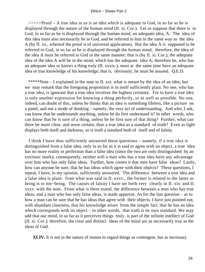>>>>>Proof – A true idea in us is an idea which is adequate in God, in so far as he is displayed through the nature of the human mind (II. xi. Cor.). Let us suppose that there is in God, in so far as he is displayed through the human mind, an adequate idea, A. The idea of this idea must also necessarily be in God, and be referred to him in the same way as the idea A (by II. xx., whereof the proof is of universal application). But the idea A is supposed to be referred to God, in so far as he is displayed through the human mind; therefore, the idea of the idea A must be referred to God in the same manner; that is (by II. xi. Cor.), the adequate idea of the idea A will be in the mind, which has the adequate idea A; therefore he, who has an adequate idea or knows a thing truly (II. xxxiv.), must at the same time have an adequate idea or true knowledge of his knowledge; that is, obviously, he must be assured. Q.E.D.

 \*\*\*\*\*Note – I explained in the note to II. xxi. what is meant by the idea of an idea; but we may remark that the foregoing proposition is in itself sufficiently plain. No one, who has a true idea, is ignorant that a true idea involves the highest certainty. For to have a true idea is only another expression for knowing a thing perfectly, or as well as possible. No one, indeed, can doubt of this, unless he thinks that an idea is something lifeless, like a picture on a panel, and not a mode of thinking – namely, the very act of understanding. And who, I ask, can know that he understands anything, unless he do first understand it? In other words, who can know that he is sure of a thing, unless he be first sure of that thing? Further, what can there be more clear, and more certain, than a true idea as a standard of truth? Even as light displays both itself and darkness, so is truth a standard both of itself and of falsity.

 I think I have thus sufficiently answered these questions – namely, if a true idea is distinguished from a false idea, only in so far as it is said to agree with its object, a true idea has no more reality or perfection than a false idea (since the two are only distinguished by an extrinsic mark); consequently, neither will a man who has a true idea have any advantage over him who has only false ideas. Further, how comes it that men have false ideas? Lastly, how can anyone be sure, that he has ideas which agree with their objects? These questions, I repeat, I have, in my opinion, sufficiently answered. The difference between a true idea and a false idea is plain: from what was said in II. xxxv., the former is related to the latter as being is to not−being. The causes of falsity I have set forth very clearly in II. xix. and II. xxxv. with the note. From what is there stated, the difference between a man who has true ideas, and a man who has only false ideas, is made apparent. As for the last question – as to how a man can be sure that he has ideas that agree with their objects, I have just pointed out, with abundant clearness, that his knowledge arises from the simple fact, that he has an idea which corresponds with its object – in other words, that truth is its own standard. We may add that our mind, in so far as it perceives things truly, is part of the infinite intellect of God (II. xi. Cor.); therefore, the clear and distinct ideas of the mind are as necessarily true as the ideas of God.

**XLIV.** It is not in the nature of reason to regard things as contingent, but as necessary.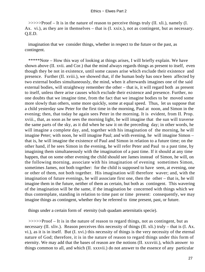>>>>>Proof – It is in the nature of reason to perceive things truly (II. xli.), namely (I. Ax. vi.), as they are in themselves – that is (I. xxix.), not as contingent, but as necessary. Q.E.D.

 imagination that we consider things, whether in respect to the future or the past, as contingent.

 \*\*\*\*\*Note – How this way of looking at things arises, I will briefly explain. We have shown above (II. xvii. and Cor.) that the mind always regards things as present to itself, even though they be not in existence, until some causes arise which exclude their existence and presence. Further (II. xviii.), we showed that, if the human body has once been affected by two external bodies simultaneously, the mind, when it afterwards imagines one of the said external bodies, will straightway remember the other – that is, it will regard both as present to itself, unless there arise causes which exclude their existence and presence. Further, no one doubts that we imagine time, from the fact that we imagine bodies to be moved some more slowly than others, some more quickly, some at equal speed. Thus, let us suppose that a child yesterday saw Peter for the first time in the morning, Paul at noon, and Simon in the evening; then, that today he again sees Peter in the morning. It is evident, from II. Prop. xviii., that, as soon as he sees the morning light, he will imagine that the sun will traverse the same parts of the sky, as it did when he saw it on the preceding day; in other words, he will imagine a complete day, and, together with his imagination of the morning, he will imagine Peter; with noon, he will imagine Paul; and with evening, he will imagine Simon – that is, he will imagine the existence of Paul and Simon in relation to a future time; on the other hand, if he sees Simon in the evening, he will refer Peter and Paul to a past time, by imagining them simultaneously with the imagination of a past time. If it should at any time happen, that on some other evening the child should see James instead of Simon, he will, on the following morning, associate with his imagination of evening sometimes Simon, sometimes James, not both together: for the child is supposed to have seen, at evening, one or other of them, not both together. His imagination will therefore waver; and, with the imagination of future evenings, he will associate first one, then the other – that is, he will imagine them in the future, neither of them as certain, but both as contingent. This wavering of the imagination will be the same, if the imagination be concerned with things which we thus contemplate, standing in relation to time past or time present: consequently, we may imagine things as contingent, whether they be referred to time present, past, or future.

things under a certain form of eternity (sub quadam aeternitatis specie).

 >>>>>Proof – It is in the nature of reason to regard things, not as contingent, but as necessary (II. xliv.). Reason perceives this necessity of things (II. xli.) truly – that is (I. Ax. vi.), as it is in itself. But (I. xvi.) this necessity of things is the very necessity of the eternal nature of God; therefore, it is in the nature of reason to regard things under this form of eternity. We may add that the bases of reason are the notions (II. xxxviii.), which answer to things common to all, and which (II. xxxvii.) do not answer to the essence of any particular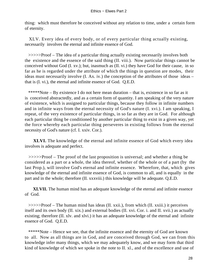thing: which must therefore be conceived without any relation to time, under a certain form of eternity.

 XLV. Every idea of every body, or of every particular thing actually existing, necessarily involves the eternal and infinite essence of God.

 >>>>>Proof – The idea of a particular thing actually existing necessarily involves both the existence and the essence of the said thing (II. viii.). Now particular things cannot be conceived without God (I. xv.); but, inasmuch as (II. vi.) they have God for their cause, in so far as he is regarded under the attribute of which the things in question are modes, their ideas must necessarily involve (I. Ax. iv.) the conception of the attributes of those ideas – that is (I. vi.), the eternal and infinite essence of God. Q.E.D.

 \*\*\*\*\*Note – By existence I do not here mean duration – that is, existence in so far as it is conceived abstractedly, and as a certain form of quantity. I am speaking of the very nature of existence, which is assigned to particular things, because they follow in infinite numbers and in infinite ways from the eternal necessity of God's nature (I. xvi.). I am speaking, I repeat, of the very existence of particular things, in so far as they are in God. For although each particular thing be conditioned by another particular thing to exist in a given way, yet the force whereby each particular thing perseveres in existing follows from the eternal necessity of God's nature (cf. I. xxiv. Cor.).

**XLVI.** The knowledge of the eternal and infinite essence of God which every idea involves is adequate and perfect.

 >>>>>Proof – The proof of the last proposition is universal; and whether a thing be considered as a part or a whole, the idea thereof, whether of the whole or of a part (by the last Prop.), will involve God's eternal and infinite essence. Wherefore, that, which gives knowledge of the eternal and infinite essence of God, is common to all, and is equally in the part and in the whole; therefore (II. xxxviii.) this knowledge will be adequate. Q.E.D.

**XLVII.** The human mind has an adequate knowledge of the eternal and infinite essence of God.

 >>>>>Proof – The human mind has ideas (II. xxii.), from which (II. xxiii.) it perceives itself and its own body (II. xix.) and external bodies (II. xvi. Cor. i. and II. xvii.) as actually existing; therefore (II. xlv. and xlvi.) it has an adequate knowledge of the eternal and infinite essence of God. Q.E.D.

 \*\*\*\*\*Note – Hence we see, that the infinite essence and the eternity of God are known to all. Now as all things are in God, and are conceived through God, we can from this knowledge infer many things, which we may adequately know, and we may form that third kind of knowledge of which we spoke in the note to II. xl., and of the excellence and use of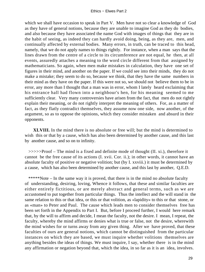which we shall have occasion to speak in Part V. Men have not so clear a knowledge of God as they have of general notions, because they are unable to imagine God as they do bodies, and also because they have associated the name God with images of things that they are in the habit of seeing, as indeed they can hardly avoid doing, being, as they are, men, and continually affected by external bodies. Many errors, in truth, can be traced to this head, namely, that we do not apply names to things rightly. For instance, when a man says that the lines drawn from the centre of a circle to its circumference are not equal, he then, at all events, assuredly attaches a meaning to the word circle different from that assigned by mathematicians. So again, when men make mistakes in calculation, they have one set of figures in their mind, and another on the paper. If we could see into their minds, they do not make a mistake; they seem to do so, because we think, that they have the same numbers in their mind as they have on the paper. If this were not so, we should not believe them to be in error, any more than I thought that a man was in error, whom I lately heard exclaiming that his entrance hall had flown into a neighbour's hen, for his meaning seemed to me sufficiently clear. Very many controversies have arisen from the fact, that men do not rightly explain their meaning, or do not rightly interpret the meaning of others. For, as a matter of fact, as they flatly contradict themselves, they assume now one side, now another, of the argument, so as to oppose the opinions, which they consider mistaken and absurd in their opponents.

**XLVIII.** In the mind there is no absolute or free will; but the mind is determined to wish this or that by a cause, which has also been determined by another cause, and this last by another cause, and so on to infinity.

 >>>>>Proof – The mind is a fixed and definite mode of thought (II. xi.), therefore it cannot be the free cause of its actions (I. xvii. Cor. ii.); in other words, it cannot have an absolute faculty of positive or negative volition; but (by I. xxviii.) it must be determined by a cause, which has also been determined by another cause, and this last by another, Q.E.D.

 \*\*\*\*\*Note – In the same way it is proved, that there is in the mind no absolute faculty of understanding, desiring, loving, Whence it follows, that these and similar faculties are either entirely fictitious, or are merely abstract and general terms, such as we are accustomed to put together from particular things. Thus the intellect and the will stand in the same relation to this or that idea, or this or that volition, as «lapidity» to this or that stone, or as «man» to Peter and Paul. The cause which leads men to consider themselves free has been set forth in the Appendix to Part I. But, before I proceed further, I would here remark that, by the will to affirm and decide, I mean the faculty, not the desire. I mean, I repeat, the faculty, whereby the mind affirms or denies what is true or false, not the desire, wherewith the mind wishes for or turns away from any given thing. After we have proved, that these faculties of ours are general notions, which cannot be distinguished from the particular instances on which they are based, we must inquire whether volitions themselves are anything besides the ideas of things. We must inquire, I say, whether there is in the mind any affirmation or negation beyond that, which the idea, in so far as it is an idea, involves.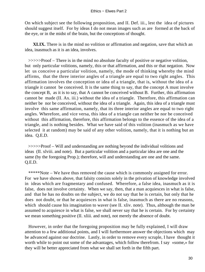On which subject see the following proposition, and II. Def. iii., lest the idea of pictures should suggest itself. For by ideas I do not mean images such as are formed at the back of the eye, or in the midst of the brain, but the conceptions of thought.

**XLIX.** There is in the mind no volition or affirmation and negation, save that which an idea, inasmuch as it is an idea, involves.

 >>>>>Proof – There is in the mind no absolute faculty of positive or negative volition, but only particular volitions, namely, this or that affirmation, and this or that negation. Now let us conceive a particular volition, namely, the mode of thinking whereby the mind affirms, that the three interior angles of a triangle are equal to two right angles. This affirmation involves the conception or idea of a triangle, that is, without the idea of a triangle it cannot be conceived. It is the same thing to say, that the concept A must involve the concept B, as it is to say, that A cannot be conceived without B. Further, this affirmation cannot be made (II. Ax. iii.) without the idea of a triangle. Therefore, this affirmation can neither be nor be conceived, without the idea of a triangle. Again, this idea of a triangle must involve this same affirmation, namely, that its three interior angles are equal to two right angles. Wherefore, and vice versa, this idea of a triangle can neither be nor be conceived without this affirmation, therefore, this affirmation belongs to the essence of the idea of a triangle, and is nothing besides. What we have said of this volition (inasmuch as we have selected it at random) may be said of any other volition, namely, that it is nothing but an idea. Q.E.D.

 >>>>>Proof – Will and understanding are nothing beyond the individual volitions and ideas (II. xlviii. and note). But a particular volition and a particular idea are one and the same (by the foregoing Prop.); therefore, will and understanding are one and the same. Q.E.D.

 \*\*\*\*\*Note – We have thus removed the cause which is commonly assigned for error. For we have shown above, that falsity consists solely in the privation of knowledge involved in ideas which are fragmentary and confused. Wherefore, a false idea, inasmuch as it is false, does not involve certainty. When we say, then, that a man acquiesces in what is false, and that he has no doubts on the subject, we do not say that he is certain, but only that he does not doubt, or that he acquiesces in what is false, inasmuch as there are no reasons, which should cause his imagination to waver (see II. xliv. note). Thus, although the man be assumed to acquiesce in what is false, we shall never say that he is certain. For by certainty we mean something positive (II. xliii. and note), not merely the absence of doubt.

 However, in order that the foregoing proposition may be fully explained, I will draw attention to a few additional points, and I will furthermore answer the objections which may be advanced against our doctrine. Lastly, in order to remove every scruple, I have thought it worth while to point out some of the advantages, which follow therefrom. I say «some,» for they will be better appreciated from what we shall set forth in the fifth part.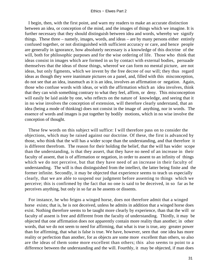I begin, then, with the first point, and warn my readers to make an accurate distinction between an idea, or conception of the mind, and the images of things which we imagine. It is further necessary that they should distinguish between idea and words, whereby we signify things. These three – namely, images, words, and ideas – are by many persons either entirely confused together, or not distinguished with sufficient accuracy or care, and hence people are generally in ignorance, how absolutely necessary is a knowledge of this doctrine of the will, both for philosophic purposes and for the wise ordering of life. Those who think that ideas consist in images which are formed in us by contact with external bodies, persuade themselves that the ideas of those things, whereof we can form no mental picture, are not ideas, but only figments, which we invent by the free decree of our will; they thus regard ideas as though they were inanimate pictures on a panel, and, filled with this misconception, do not see that an idea, inasmuch as it is an idea, involves an affirmation or negation. Again, those who confuse words with ideas, or with the affirmation which an idea involves, think that they can wish something contrary to what they feel, affirm, or deny. This misconception will easily be laid aside by one, who reflects on the nature of knowledge, and seeing that it in no wise involves the conception of extension, will therefore clearly understand, that an idea (being a mode of thinking) does not consist in the image of anything, nor in words. The essence of words and images is put together by bodily motions, which in no wise involve the conception of thought.

 These few words on this subject will suffice: I will therefore pass on to consider the objections, which may be raised against our doctrine. Of these, the first is advanced by those, who think that the will has a wider scope than the understanding, and that therefore it is different therefrom. The reason for their holding the belief, that the will has wider scope than the understanding, is that they assert, that they have no need of an increase in their faculty of assent, that is of affirmation or negation, in order to assent to an infinity of things which we do not perceive, but that they have need of an increase in their faculty of understanding. The will is thus distinguished from the intellect, the latter being finite and the former infinite. Secondly, it may be objected that experience seems to teach us especially clearly, that we are able to suspend our judgment before assenting to things which we perceive; this is confirmed by the fact that no one is said to be deceived, in so far as he perceives anything, but only in so far as he assents or dissents.

 For instance, he who feigns a winged horse, does not therefore admit that a winged horse exists; that is, he is not deceived, unless he admits in addition that a winged horse does exist. Nothing therefore seems to be taught more clearly by experience, than that the will or faculty of assent is free and different from the faculty of understanding. Thirdly, it may be objected that one affirmation does not apparently contain more reality than another; in other words, that we do not seem to need for affirming, that what is true is true, any greater power than for affirming, that what is false is true. We have, however, seen that one idea has more reality or perfection than another, for as objects are some more excellent than others, so also are the ideas of them some more excellent than others; this also seems to point to a difference between the understanding and the will. Fourthly, it may be objected, if man does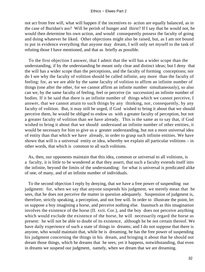not act from free will, what will happen if the incentives to action are equally balanced, as in the case of Buridan's ass? Will he perish of hunger and thirst? If I say that he would not, he would then determine his own action, and would consequently possess the faculty of going and doing whatever he liked. Other objections might also be raised, but, as I am not bound to put in evidence everything that anyone may dream, I will only set myself to the task of refuting those I have mentioned, and that as briefly as possible.

 To the first objection I answer, that I admit that the will has a wider scope than the understanding, if by the understanding be meant only clear and distinct ideas; but I deny that the will has a wider scope than the perceptions, and the faculty of forming conceptions; nor do I see why the faculty of volition should be called infinite, any more than the faculty of feeling: for, as we are able by the same faculty of volition to affirm an infinite number of things (one after the other, for we cannot affirm an infinite number simultaneously), so also can we, by the same faculty of feeling, feel or perceive (in succession) an infinite number of bodies. If it be said that there is an infinite number of things which we cannot perceive, I answer, that we cannot attain to such things by any thinking, nor, consequently, by any faculty of volition. But, it may still be urged, if God wished to bring it about that we should perceive them, he would be obliged to endow us with a greater faculty of perception, but not a greater faculty of volition than we have already. This is the same as to say that, if God wished to bring it about that we should understand an infinite number of other entities, it would be necessary for him to give us a greater understanding, but not a more universal idea of entity than that which we have already, in order to grasp such infinite entities. We have shown that will is a universal entity or idea, whereby we explain all particular volitions – in other words, that which is common to all such volitions.

 As, then, our opponents maintain that this idea, common or universal to all volitions, is a faculty, it is little to be wondered at that they assert, that such a faculty extends itself into the infinite, beyond the limits of the understanding: for what is universal is predicated alike of one, of many, and of an infinite number of individuals.

 To the second objection I reply by denying, that we have a free power of suspending our judgment: for, when we say that anyone suspends his judgment, we merely mean that he sees, that he does not perceive the matter in question adequately. Suspension of judgment is, therefore, strictly speaking, a perception, and not free will. In order to illustrate the point, let us suppose a boy imagining a horse, and perceive nothing else. Inasmuch as this imagination involves the existence of the horse (II. xvii. Cor.), and the boy does not perceive anything which would exclude the existence of the horse, he will necessarily regard the horse as present: he will not be able to doubt of its existence, although he be not certain thereof. We have daily experience of such a state of things in dreams; and I do not suppose that there is anyone, who would maintain that, while he is dreaming, he has the free power of suspending his judgment concerning the things in his dream, and bringing it about that he should not dream those things, which he dreams that he sees; yet it happens, notwithstanding, that even in dreams we suspend our judgment, namely, when we dream that we are dreaming.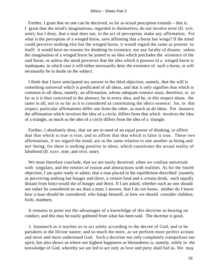Further, I grant that no one can be deceived, so far as actual perception extends – that is, I grant that the mind's imaginations, regarded in themselves, do not involve error (II. xvii. note); but I deny, that a man does not, in the act of perception, make any affirmation. For what is the perception of a winged horse, save affirming that a horse has wings? If the mind could perceive nothing else but the winged horse, it would regard the same as present to itself: it would have no reasons for doubting its existence, nor any faculty of dissent, unless the imagination of a winged horse be joined to an idea which precludes the existence of the said horse, or unless the mind perceives that the idea which it possess of a winged horse is inadequate, in which case it will either necessarily deny the existence of such a horse, or will necessarily be in doubt on the subject.

 I think that I have anticipated my answer to the third objection, namely, that the will is something universal which is predicated of all ideas, and that it only signifies that which is common to all ideas, namely, an affirmation, whose adequate essence must, therefore, in so far as it is thus conceived in the abstract, be in every idea, and be, in this respect alone, the same in all, not in so far as it is considered as constituting the idea's essence: for, in this respect, particular affirmations differ one from the other, as much as do ideas. For instance, the affirmation which involves the idea of a circle, differs from that which involves the idea of a triangle, as much as the idea of a circle differs from the idea of a triangle.

 Further, I absolutely deny, that we are in need of an equal power of thinking, to affirm that that which is true is true, and to affirm that that which is false is true. These two affirmations, if we regard the mind, are in the same relation to one another as being and not−being; for there is nothing positive in ideas, which constitutes the actual reality of falsehood (II. xxxv. note, and xlvii. note).

 We must therefore conclude, that we are easily deceived, when we confuse universals with singulars, and the entities of reason and abstractions with realities. As for the fourth objection, I am quite ready to admit, that a man placed in the equilibrium described (namely, as perceiving nothing but hunger and thirst, a certain food and a certain drink, each equally distant from him) would die of hunger and thirst. If I am asked, whether such an one should not rather be considered an ass than a man; I answer, that I do not know, neither do I know how a man should be considered, who hangs himself, or how we should consider children, fools, madmen,

 It remains to point out the advantages of a knowledge of this doctrine as bearing on conduct, and this may be easily gathered from what has been said. The doctrine is good,

 1. Inasmuch as it teaches us to act solely according to the decree of God, and to be partakers in the Divine nature, and so much the more, as we perform more perfect actions and more and more understand God. Such a doctrine not only completely tranquilizes our spirit, but also shows us where our highest happiness or blessedness is, namely, solely in the knowledge of God, whereby we are led to act only as love and piety shall bid us. We may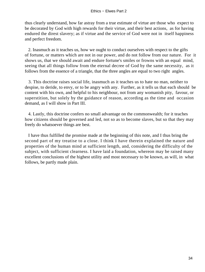thus clearly understand, how far astray from a true estimate of virtue are those who expect to be decorated by God with high rewards for their virtue, and their best actions, as for having endured the direst slavery; as if virtue and the service of God were not in itself happiness and perfect freedom.

 2. Inasmuch as it teaches us, how we ought to conduct ourselves with respect to the gifts of fortune, or matters which are not in our power, and do not follow from our nature. For it shows us, that we should await and endure fortune's smiles or frowns with an equal mind, seeing that all things follow from the eternal decree of God by the same necessity, as it follows from the essence of a triangle, that the three angles are equal to two right angles.

 3. This doctrine raises social life, inasmuch as it teaches us to hate no man, neither to despise, to deride, to envy, or to be angry with any. Further, as it tells us that each should be content with his own, and helpful to his neighbour, not from any womanish pity, favour, or superstition, but solely by the guidance of reason, according as the time and occasion demand, as I will show in Part III.

 4. Lastly, this doctrine confers no small advantage on the commonwealth; for it teaches how citizens should be governed and led, not so as to become slaves, but so that they may freely do whatsoever things are best.

 I have thus fulfilled the promise made at the beginning of this note, and I thus bring the second part of my treatise to a close. I think I have therein explained the nature and properties of the human mind at sufficient length, and, considering the difficulty of the subject, with sufficient clearness. I have laid a foundation, whereon may be raised many excellent conclusions of the highest utility and most necessary to be known, as will, in what follows, be partly made plain.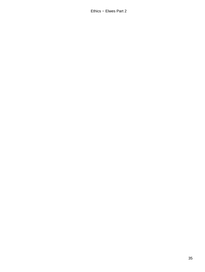Ethics − Elwes Part 2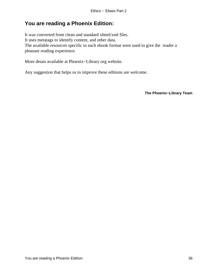## <span id="page-36-0"></span>**You are reading a Phoenix Edition:**

It was converted from clean and standard xhtml/xml files. It uses metatags to identify content, and other data. The available resources specific to each ebook format were used to give the reader a pleasant reading experience.

More detais available at Phoenix−Library.org website.

Any suggestion that helps us to improve these editions are welcome.

**The Phoenix−Library Team**